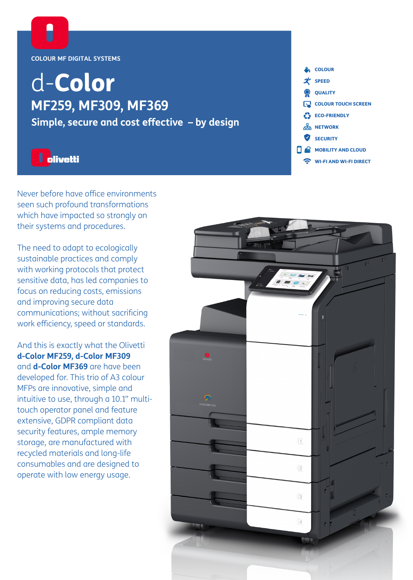

# d-Color **MF259, MF309, MF369**

**Simple, secure and cost effective – by design**



Never before have office environments seen such profound transformations which have impacted so strongly on their systems and procedures.

The need to adapt to ecologically sustainable practices and comply with working protocols that protect sensitive data, has led companies to focus on reducing costs, emissions and improving secure data communications; without sacrificing work efficiency, speed or standards.

And this is exactly what the Olivetti **d-Color MF259, d-Color MF309** and **d-Color MF369** are have been developed for. This trio of A3 colour MFPs are innovative, simple and intuitive to use, through a 10.1" multitouch operator panel and feature extensive, GDPR compliant data security features, ample memory storage, are manufactured with recycled materials and long-life consumables and are designed to operate with low energy usage.

**COLOUR**  $\mathcal{\mathcal{X}}$  SPEED **QUALITY** COLOUR TOUCH SCREEN ECO-FRIENDLY 品 NETWORK SECURITY  $\Box \otimes$  MOBILITY AND CLOUD WI-FI AND WI-FI DIRECT

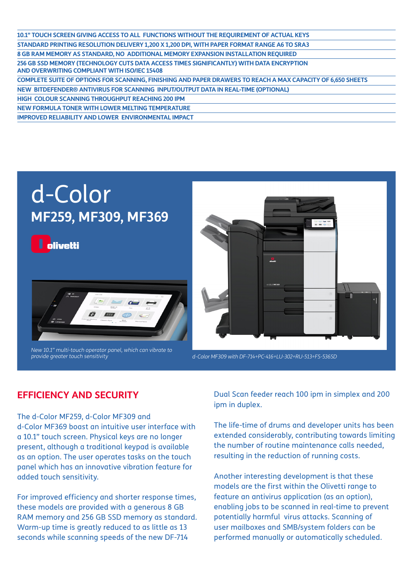| 10.1" TOUCH SCREEN GIVING ACCESS TO ALL FUNCTIONS WITHOUT THE REQUIREMENT OF ACTUAL KEYS                                                 |
|------------------------------------------------------------------------------------------------------------------------------------------|
| STANDARD PRINTING RESOLUTION DELIVERY 1,200 X 1,200 DPI, WITH PAPER FORMAT RANGE A6 TO SRA3                                              |
| 8 GB RAM MEMORY AS STANDARD, NO ADDITIONAL MEMORY EXPANSION INSTALLATION REQUIRED                                                        |
| 256 GB SSD MEMORY (TECHNOLOGY CUTS DATA ACCESS TIMES SIGNIFICANTLY) WITH DATA ENCRYPTION<br>AND OVERWRITING COMPLIANT WITH ISO/IEC 15408 |
| COMPLETE SUITE OF OPTIONS FOR SCANNING, FINISHING AND PAPER DRAWERS TO REACH A MAX CAPACITY OF 6,650 SHEETS                              |
| NEW BITDEFENDER® ANTIVIRUS FOR SCANNING INPUT/OUTPUT DATA IN REAL-TIME (OPTIONAL)                                                        |
| <b>HIGH COLOUR SCANNING THROUGHPUT REACHING 200 IPM</b>                                                                                  |
| NEW FORMULA TONER WITH LOWER MELTING TEMPERATURE                                                                                         |
| <b>IMPROVED RELIABILITY AND LOWER ENVIRONMENTAL IMPACT</b>                                                                               |
|                                                                                                                                          |

## d-Color **MF259, MF309, MF369**

**olivetti** 



*New 10.1" multi-touch operator panel, which can vibrate to provide greater touch sensitivity d-Color MF309 with DF-714+PC-416+LU-302+RU-513+FS-536SD*



## **EFFICIENCY AND SECURITY**

The d-Color MF259, d-Color MF309 and d-Color MF369 boast an intuitive user interface with a 10.1" touch screen. Physical keys are no longer present, although a traditional keypad is available as an option. The user operates tasks on the touch panel which has an innovative vibration feature for added touch sensitivity.

For improved efficiency and shorter response times, these models are provided with a generous 8 GB RAM memory and 256 GB SSD memory as standard. Warm-up time is greatly reduced to as little as 13 seconds while scanning speeds of the new DF-714

Dual Scan feeder reach 100 ipm in simplex and 200 ipm in duplex.

The life-time of drums and developer units has been extended considerably, contributing towards limiting the number of routine maintenance calls needed, resulting in the reduction of running costs.

Another interesting development is that these models are the first within the Olivetti range to feature an antivirus application (as an option), enabling jobs to be scanned in real-time to prevent potentially harmful virus attacks. Scanning of user mailboxes and SMB/system folders can be performed manually or automatically scheduled.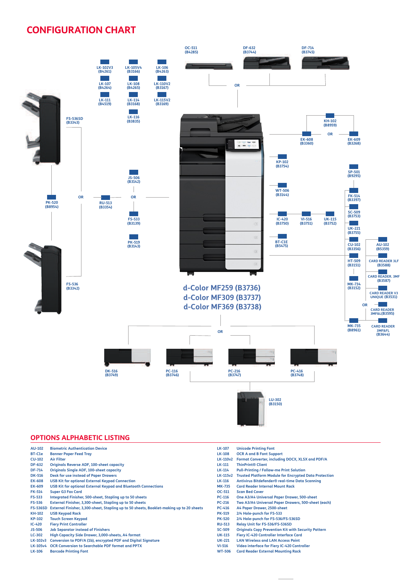## **CONFIGURATION CHART**



#### **OPTIONS ALPHABETIC LISTING**

| <b>AU-102</b>   | <b>Biometric Authentication Device</b>                                                   | <b>LK-107</b>   | <b>Unicode Printing Font</b>                                 |
|-----------------|------------------------------------------------------------------------------------------|-----------------|--------------------------------------------------------------|
| BT-C1e          | <b>Banner Paper Feed Tray</b>                                                            | <b>LK-108</b>   | <b>OCR A and B Font Support</b>                              |
| <b>CU-102</b>   | <b>Air Filter</b>                                                                        | <b>LK-110v2</b> | Format Converter, including DOCX, XLSX and PDF/A             |
| <b>DF-632</b>   | <b>Originals Reverse ADF, 100-sheet capacity</b>                                         | <b>LK-111</b>   | <b>ThinPrint® Client</b>                                     |
| <b>DF-714</b>   | <b>Originals Single ADF, 100-sheet capacity</b>                                          | <b>LK-114</b>   | <b>Pull-Printing / Follow-me Print Solution</b>              |
| <b>DK-516</b>   | <b>Desk for use instead of Paper Drawers</b>                                             | <b>LK-115v2</b> | <b>Trusted Platform Module for Encrypted Data Protection</b> |
| <b>EK-608</b>   | <b>USB Kit for optional External Keypad Connection</b>                                   | <b>LK-116</b>   | Antivirus Bitdefender <sup>®</sup> real-time Data Scanning   |
| <b>EK-609</b>   | <b>USB Kit for optional External Keypad and Bluetooth Connections</b>                    | <b>MK-735</b>   | <b>Card Reader Internal Mount Rack</b>                       |
| <b>FK-514</b>   | <b>Super G3 Fax Card</b>                                                                 | OC-511          | <b>Scan Bed Cover</b>                                        |
| <b>FS-533</b>   | Integrated Finisher, 500-sheet, Stapling up to 50 sheets                                 | <b>PC-116</b>   | One A3/A4 Universal Paper Drawer, 500-sheet                  |
| <b>FS-536</b>   | External Finisher, 3,300-sheet, Stapling up to 50 sheets                                 | <b>PC-216</b>   | Two A3/A4 Universal Paper Drawers, 500-sheet (each)          |
| <b>FS-536SD</b> | External Finisher, 3,300-sheet, Stapling up to 50 sheets, Booklet-making up to 20 sheets | <b>PC-416</b>   | A4 Paper Drawer, 2500-sheet                                  |
| <b>KH-102</b>   | <b>USB Keypad Rack</b>                                                                   | <b>PK-519</b>   | 2/4 Hole-punch for FS-533                                    |
| <b>KP-102</b>   | <b>Touch Screen Keypad</b>                                                               | <b>PK-520</b>   | 2/4 Hole-punch for FS-536/FS-536SD                           |
| $IC-420$        | <b>Fiery Print Controller</b>                                                            | <b>RU-513</b>   | Relay Unit for FS-536/FS-536SD                               |
| <b>JS-506</b>   | <b>Job Separator instead of Finishers</b>                                                | <b>SC-509</b>   | <b>Originals Copy Prevention Kit with Security Pattern</b>   |
| $LC-302$        | High Capacity Side Drawer, 3,000-sheets, A4 format                                       | <b>UK-115</b>   | <b>Fiery IC-420 Controller Interface Card</b>                |
| LK-102v3        | Conversion to PDF/A (1b), encrypted PDF and Digital Signature                            | <b>UK-221</b>   | <b>LAN Wireless and LAN Access Point</b>                     |
| <b>LK-105v4</b> | OCR Conversion to Searchable PDF format and PPTX                                         | $VI-516$        | Video interface for Fiery IC-420 Controller                  |
| <b>LK-106</b>   | <b>Barcode Printing Font</b>                                                             | <b>WT-506</b>   | <b>Card Reader External Mounting Rack</b>                    |
|                 |                                                                                          |                 |                                                              |